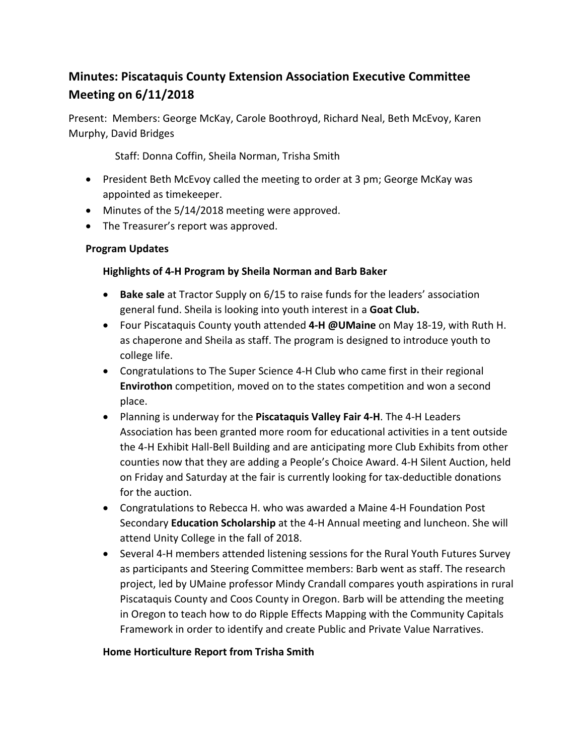# **Minutes: Piscataquis County Extension Association Executive Committee Meeting on 6/11/2018**

Present: Members: George McKay, Carole Boothroyd, Richard Neal, Beth McEvoy, Karen Murphy, David Bridges

Staff: Donna Coffin, Sheila Norman, Trisha Smith

- President Beth McEvoy called the meeting to order at 3 pm; George McKay was appointed as timekeeper.
- Minutes of the 5/14/2018 meeting were approved.
- The Treasurer's report was approved.

### **Program Updates**

### **Highlights of 4-H Program by Sheila Norman and Barb Baker**

- **Bake sale** at Tractor Supply on 6/15 to raise funds for the leaders' association general fund. Sheila is looking into youth interest in a **Goat Club.**
- Four Piscataquis County youth attended 4-H @UMaine on May 18-19, with Ruth H. as chaperone and Sheila as staff. The program is designed to introduce youth to college life.
- Congratulations to The Super Science 4-H Club who came first in their regional **Envirothon** competition, moved on to the states competition and won a second place.
- Planning is underway for the **Piscataquis Valley Fair 4-H**. The 4-H Leaders Association has been granted more room for educational activities in a tent outside the 4-H Exhibit Hall-Bell Building and are anticipating more Club Exhibits from other counties now that they are adding a People's Choice Award. 4-H Silent Auction, held on Friday and Saturday at the fair is currently looking for tax-deductible donations for the auction.
- Congratulations to Rebecca H. who was awarded a Maine 4-H Foundation Post Secondary **Education Scholarship** at the 4-H Annual meeting and luncheon. She will attend Unity College in the fall of 2018.
- Several 4-H members attended listening sessions for the Rural Youth Futures Survey as participants and Steering Committee members: Barb went as staff. The research project, led by UMaine professor Mindy Crandall compares youth aspirations in rural Piscataquis County and Coos County in Oregon. Barb will be attending the meeting in Oregon to teach how to do Ripple Effects Mapping with the Community Capitals Framework in order to identify and create Public and Private Value Narratives.

## **Home Horticulture Report from Trisha Smith**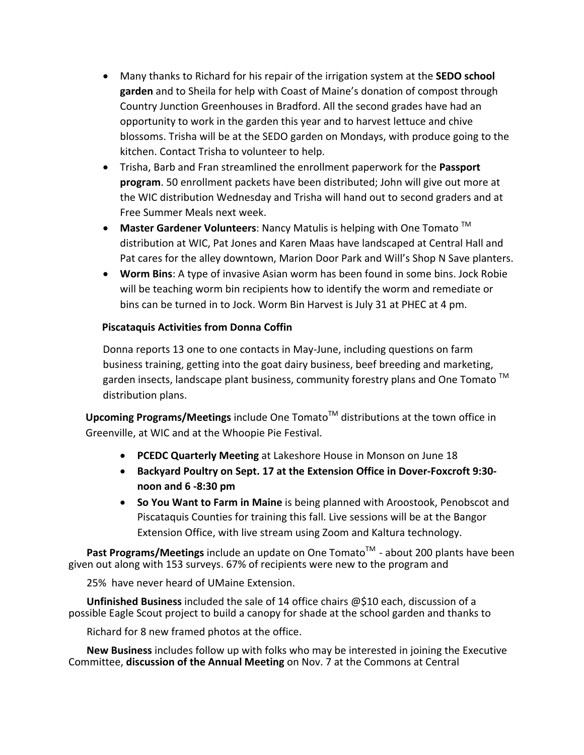- Many thanks to Richard for his repair of the irrigation system at the **SEDO school garden** and to Sheila for help with Coast of Maine's donation of compost through Country Junction Greenhouses in Bradford. All the second grades have had an opportunity to work in the garden this year and to harvest lettuce and chive blossoms. Trisha will be at the SEDO garden on Mondays, with produce going to the kitchen. Contact Trisha to volunteer to help.
- Trisha, Barb and Fran streamlined the enrollment paperwork for the Passport **program**. 50 enrollment packets have been distributed; John will give out more at the WIC distribution Wednesday and Trisha will hand out to second graders and at Free Summer Meals next week.
- Master Gardener Volunteers: Nancy Matulis is helping with One Tomato  $\text{TM}$ distribution at WIC, Pat Jones and Karen Maas have landscaped at Central Hall and Pat cares for the alley downtown, Marion Door Park and Will's Shop N Save planters.
- Worm Bins: A type of invasive Asian worm has been found in some bins. Jock Robie will be teaching worm bin recipients how to identify the worm and remediate or bins can be turned in to Jock. Worm Bin Harvest is July 31 at PHEC at 4 pm.

#### **Piscataquis Activities from Donna Coffin**

Donna reports 13 one to one contacts in May-June, including questions on farm business training, getting into the goat dairy business, beef breeding and marketing, garden insects, landscape plant business, community forestry plans and One Tomato  $^{TM}$ distribution plans.

**Upcoming Programs/Meetings** include One Tomato<sup>™</sup> distributions at the town office in Greenville, at WIC and at the Whoopie Pie Festival.

- **PCEDC Quarterly Meeting** at Lakeshore House in Monson on June 18
- Backyard Poultry on Sept. 17 at the Extension Office in Dover-Foxcroft 9:30**noon and 6 -8:30 pm**
- So You Want to Farm in Maine is being planned with Aroostook, Penobscot and Piscataquis Counties for training this fall. Live sessions will be at the Bangor Extension Office, with live stream using Zoom and Kaltura technology.

**Past Programs/Meetings** include an update on One Tomato<sup>™</sup> - about 200 plants have been given out along with 153 surveys. 67% of recipients were new to the program and

25% have never heard of UMaine Extension.

**Unfinished Business** included the sale of 14 office chairs @\$10 each, discussion of a possible Eagle Scout project to build a canopy for shade at the school garden and thanks to

Richard for 8 new framed photos at the office.

**New Business** includes follow up with folks who may be interested in joining the Executive Committee, **discussion of the Annual Meeting** on Nov. 7 at the Commons at Central